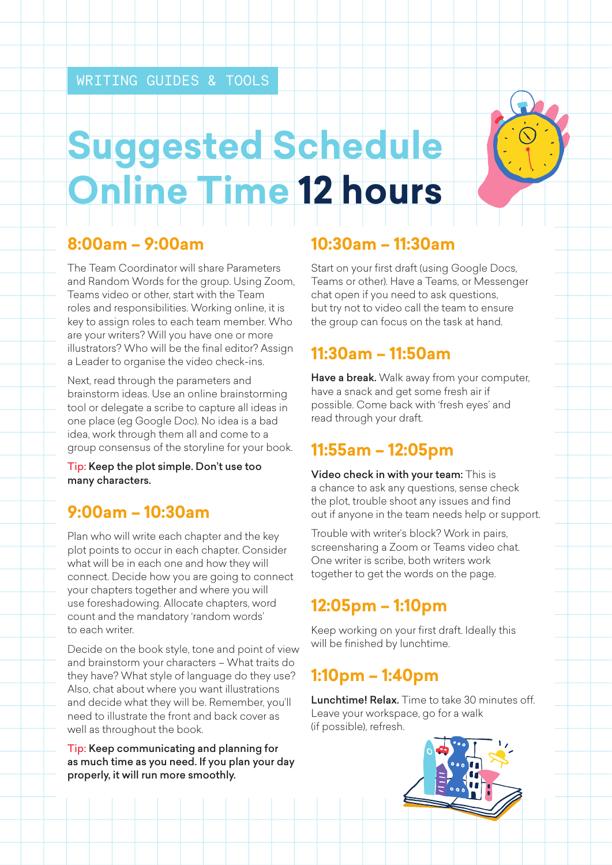# **Suggested Schedule Online Time 12 hours**

#### **8:00am – 9:00am**

The Team Coordinator will share Parameters and Random Words for the group. Using Zoom, Teams video or other, start with the Team roles and responsibilities. Working online, it is key to assign roles to each team member. Who are your writers? Will you have one or more illustrators? Who will be the final editor? Assign a Leader to organise the video check-ins.

Next, read through the parameters and brainstorm ideas. Use an online brainstorming tool or delegate a scribe to capture all ideas in one place (eg Google Doc). No idea is a bad idea, work through them all and come to a group consensus of the storyline for your book.

Tip: Keep the plot simple. Don't use too many characters.

## **9:00am – 10:30am**

Plan who will write each chapter and the key plot points to occur in each chapter. Consider what will be in each one and how they will connect. Decide how you are going to connect your chapters together and where you will use foreshadowing. Allocate chapters, word count and the mandatory 'random words' to each writer.

Decide on the book style, tone and point of view and brainstorm your characters – What traits do they have? What style of language do they use? Also, chat about where you want illustrations and decide what they will be. Remember, you'll need to illustrate the front and back cover as well as throughout the book.

Tip: Keep communicating and planning for as much time as you need. If you plan your day properly, it will run more smoothly.

#### **10:30am – 11:30am**

Start on your first draft (using Google Docs, Teams or other). Have a Teams, or Messenger chat open if you need to ask questions, but try not to video call the team to ensure the group can focus on the task at hand.

#### **11:30am – 11:50am**

Have a break. Walk away from your computer, have a snack and get some fresh air if possible. Come back with 'fresh eyes' and read through your draft.

### **11:55am – 12:05pm**

Video check in with your team: This is a chance to ask any questions, sense check the plot, trouble shoot any issues and find out if anyone in the team needs help or support.

Trouble with writer's block? Work in pairs, screensharing a Zoom or Teams video chat. One writer is scribe, both writers work together to get the words on the page.

### **12:05pm – 1:10pm**

Keep working on your first draft. Ideally this will be finished by lunchtime.

## **1:10pm – 1:40pm**

Lunchtime! Relax. Time to take 30 minutes off. Leave your workspace, go for a walk (if possible), refresh.